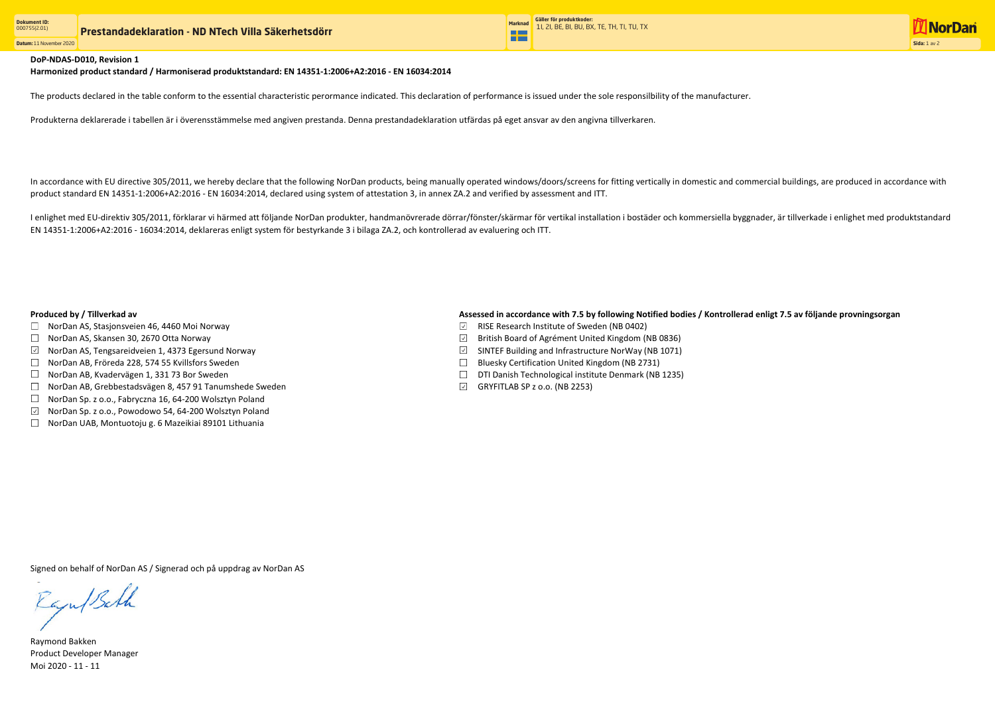**Datum:** 11 November 2020



The products declared in the table conform to the essential characteristic perormance indicated. This declaration of performance is issued under the sole responsilbility of the manufacturer.

Produkterna deklarerade i tabellen är i överensstämmelse med angiven prestanda. Denna prestandadeklaration utfärdas på eget ansvar av den angivna tillverkaren.

- RISE Research Institute of Sweden (NB 0402)
- $\boxdot$  British Board of Agrément United Kingdom (NB 0836)
- $\boxdot$  SINTEF Building and Infrastructure NorWay (NB 1071)
- $\Box$  Bluesky Certification United Kingdom (NB 2731)
- DTI Danish Technological institute Denmark (NB 1235)
- $\boxdot$  GRYFITLAB SP z o.o. (NB 2253)

In accordance with EU directive 305/2011, we hereby declare that the following NorDan products, being manually operated windows/doors/screens for fitting vertically in domestic and commercial buildings, are produced in acc product standard EN 14351-1:2006+A2:2016 - EN 16034:2014, declared using system of attestation 3, in annex ZA.2 and verified by assessment and ITT.

Raymond Bakken Product Developer Manager Moi 2020 - 11 - 11

## DoP-NDAS-D010, Revision 1

I enlighet med EU-direktiv 305/2011, förklarar vi härmed att följande NorDan produkter, handmanövrerade dörrar/fönster/skärmar för vertikal installation i bostäder och kommersiella byggnader, är tillverkade i enlighet med EN 14351-1:2006+A2:2016 - 16034:2014, deklareras enligt system för bestyrkande 3 i bilaga ZA.2, och kontrollerad av evaluering och ITT.

- □ NorDan AS, Stasjonsveien 46, 4460 Moi Norway
- □ NorDan AS, Skansen 30, 2670 Otta Norway
- $\boxdot$  NorDan AS, Tengsareidveien 1, 4373 Egersund Norway
- □ NorDan AB, Fröreda 228, 574 55 Kvillsfors Sweden
- $\Box$  NorDan AB, Kvadervägen 1, 331 73 Bor Sweden
- NorDan AB, Grebbestadsvägen 8, 457 91 Tanumshede Sweden
- □ NorDan Sp. z o.o., Fabryczna 16, 64-200 Wolsztyn Poland
- $\checkmark$ NorDan Sp. z o.o., Powodowo 54, 64-200 Wolsztyn Poland
- $\Box$  NorDan UAB, Montuotoju g. 6 Mazeikiai 89101 Lithuania

## Produced by / Tillverkad av **Assessed in accordance with 7.5 by following Notified bodies / Kontrollerad enligt 7.5 av följande provningsorgan**

Signed on behalf of NorDan AS / Signerad och på uppdrag av NorDan AS

Raju/Bath

Harmonized product standard / Harmoniserad produktstandard: EN 14351-1:2006+A2:2016 - EN 16034:2014